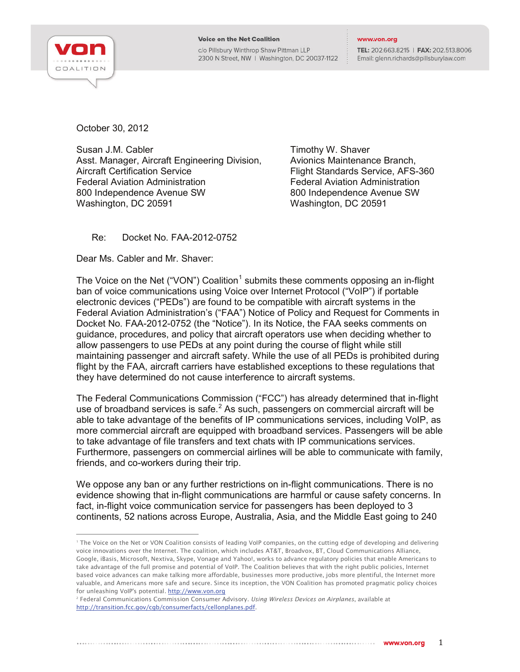

c/o Pillsbury Winthrop Shaw Pittman LLP 2300 N Street, NW | Washington, DC 20037-1122 TEL: 202.663.8215 | FAX: 202.513.8006 Email: glenn.richards@pillsburylaw.com

October 30, 2012

Susan J.M. Cabler **Timothy W. Shaver** Susan J.M. Cabler Asst. Manager, Aircraft Engineering Division, Avionics Maintenance Branch,<br>Aircraft Certification Service APS Federal Aviation Administration Federal Aviation Administration 800 Independence Avenue SW 800 Independence Avenue SW Washington, DC 20591 Washington, DC 20591

Flight Standards Service, AFS-360

Re: Docket No. FAA-2012-0752

Dear Ms. Cabler and Mr. Shaver:

The Voice on the Net ("VON") Coalition<sup>[1](#page-0-0)</sup> submits these comments opposing an in-flight ban of voice communications using Voice over Internet Protocol ("VoIP") if portable electronic devices ("PEDs") are found to be compatible with aircraft systems in the Federal Aviation Administration's ("FAA") Notice of Policy and Request for Comments in Docket No. FAA-2012-0752 (the "Notice"). In its Notice, the FAA seeks comments on guidance, procedures, and policy that aircraft operators use when deciding whether to allow passengers to use PEDs at any point during the course of flight while still maintaining passenger and aircraft safety. While the use of all PEDs is prohibited during flight by the FAA, aircraft carriers have established exceptions to these regulations that they have determined do not cause interference to aircraft systems.

The Federal Communications Commission ("FCC") has already determined that in-flight use of broadband services is safe. $2$  As such, passengers on commercial aircraft will be able to take advantage of the benefits of IP communications services, including VoIP, as more commercial aircraft are equipped with broadband services. Passengers will be able to take advantage of file transfers and text chats with IP communications services. Furthermore, passengers on commercial airlines will be able to communicate with family, friends, and co-workers during their trip.

We oppose any ban or any further restrictions on in-flight communications. There is no evidence showing that in-flight communications are harmful or cause safety concerns. In fact, in-flight voice communication service for passengers has been deployed to 3 continents, 52 nations across Europe, Australia, Asia, and the Middle East going to 240

<span id="page-0-0"></span><sup>&</sup>lt;sup>1</sup> The Voice on the Net or VON Coalition consists of leading VoIP companies, on the cutting edge of developing and delivering voice innovations over the Internet. The coalition, which includes AT&T, Broadvox, BT, Cloud Communications Alliance, Google, iBasis, Microsoft, Nextiva, Skype, Vonage and Yahoo!, works to advance regulatory policies that enable Americans to take advantage of the full promise and potential of VoIP. The Coalition believes that with the right public policies, Internet based voice advances can make talking more affordable, businesses more productive, jobs more plentiful, the Internet more valuable, and Americans more safe and secure. Since its inception, the VON Coalition has promoted pragmatic policy choices

<span id="page-0-1"></span>for unleashing VoIP's potential. <u>http://www.von.org</u><br><sup>2</sup> Federal Communications Commission Consumer Advisory. *Using Wireless Devices on Airplanes*, available at [http://transition.fcc.gov/cgb/consumerfacts/cellonplanes.pdf.](http://transition.fcc.gov/cgb/consumerfacts/cellonplanes.pdf)